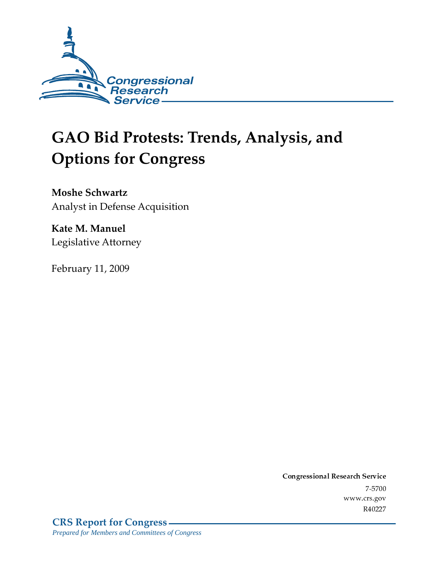

# **GAO Bid Protests: Trends, Analysis, and Options for Congress**

**Moshe Schwartz** Analyst in Defense Acquisition

Kate M. Manuel Legislative Attorney

February 11, 2009

Conglessional Research Service  $7 - 2700$ www.crs.gov R40227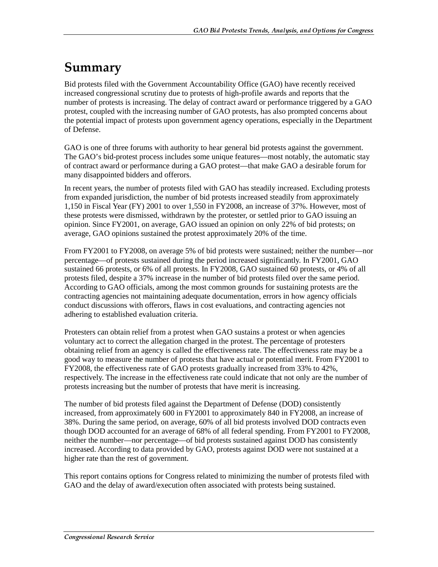## Summary

Bid protests filed with the Government Accountability Office (GAO) have recently received increased congressional scrutiny due to protests of high-profile awards and reports that the number of protests is increasing. The delay of contract award or performance triggered by a GAO protest, coupled with the increasing number of GAO protests, has also prompted concerns about the potential impact of protests upon government agency operations, especially in the Department of Defense.

GAO is one of three forums with authority to hear general bid protests against the government. The GAO's bid-protest process includes some unique features—most notably, the automatic stay of contract award or performance during a GAO protest—that make GAO a desirable forum for many disappointed bidders and offerors.

In recent years, the number of protests filed with GAO has steadily increased. Excluding protests from expanded jurisdiction, the number of bid protests increased steadily from approximately 1,150 in Fiscal Year (FY) 2001 to over 1,550 in FY2008, an increase of 37%. However, most of these protests were dismissed, withdrawn by the protester, or settled prior to GAO issuing an opinion. Since FY2001, on average, GAO issued an opinion on only 22% of bid protests; on average, GAO opinions sustained the protest approximately 20% of the time.

From FY2001 to FY2008, on average 5% of bid protests were sustained; neither the number—nor percentage—of protests sustained during the period increased significantly. In FY2001, GAO sustained 66 protests, or 6% of all protests. In FY2008, GAO sustained 60 protests, or 4% of all protests filed, despite a 37% increase in the number of bid protests filed over the same period. According to GAO officials, among the most common grounds for sustaining protests are the contracting agencies not maintaining adequate documentation, errors in how agency officials conduct discussions with offerors, flaws in cost evaluations, and contracting agencies not adhering to established evaluation criteria.

Protesters can obtain relief from a protest when GAO sustains a protest or when agencies voluntary act to correct the allegation charged in the protest. The percentage of protesters obtaining relief from an agency is called the effectiveness rate. The effectiveness rate may be a good way to measure the number of protests that have actual or potential merit. From FY2001 to FY2008, the effectiveness rate of GAO protests gradually increased from 33% to 42%, respectively. The increase in the effectiveness rate could indicate that not only are the number of protests increasing but the number of protests that have merit is increasing.

The number of bid protests filed against the Department of Defense (DOD) consistently increased, from approximately 600 in FY2001 to approximately 840 in FY2008, an increase of 38%. During the same period, on average, 60% of all bid protests involved DOD contracts even though DOD accounted for an average of 68% of all federal spending. From FY2001 to FY2008, neither the number—nor percentage—of bid protests sustained against DOD has consistently increased. According to data provided by GAO, protests against DOD were not sustained at a higher rate than the rest of government.

This report contains options for Congress related to minimizing the number of protests filed with GAO and the delay of award/execution often associated with protests being sustained.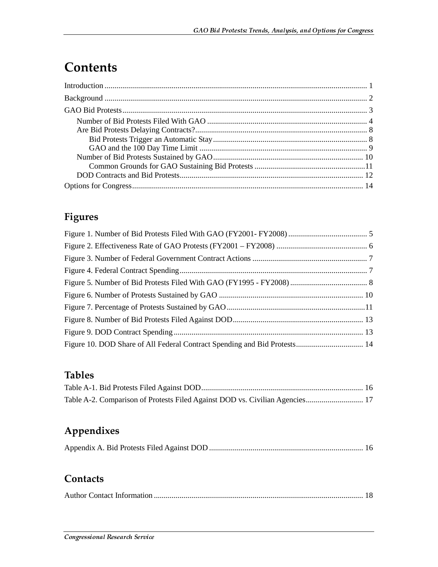## **Contents**

## Figures

### **Tables**

| Table A-2. Comparison of Protests Filed Against DOD vs. Civilian Agencies 17 |  |
|------------------------------------------------------------------------------|--|

## Appendixes

|--|--|

### Contacts

|--|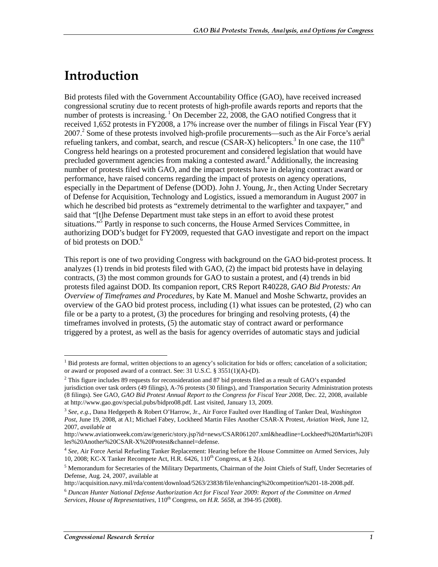## <u>Introduction</u>

Bid protests filed with the Government Accountability Office (GAO), have received increased congressional scrutiny due to recent protests of high-profile awards reports and reports that the number of protests is increasing.  $1$  On December 22, 2008, the GAO notified Congress that it received 1,652 protests in FY2008, a 17% increase over the number of filings in Fiscal Year (FY) 2007.<sup>2</sup> Some of these protests involved high-profile procurements—such as the Air Force's aerial refueling tankers, and combat, search, and rescue (CSAR-X) helicopters.<sup>3</sup> In one case, the  $110^{th}$ Congress held hearings on a protested procurement and considered legislation that would have precluded government agencies from making a contested award.<sup>4</sup> Additionally, the increasing number of protests filed with GAO, and the impact protests have in delaying contract award or performance, have raised concerns regarding the impact of protests on agency operations, especially in the Department of Defense (DOD). John J. Young, Jr., then Acting Under Secretary of Defense for Acquisition, Technology and Logistics, issued a memorandum in August 2007 in which he described bid protests as "extremely detrimental to the warfighter and taxpayer," and said that "[t]he Defense Department must take steps in an effort to avoid these protest situations."<sup>5</sup> Partly in response to such concerns, the House Armed Services Committee, in authorizing DOD's budget for FY2009, requested that GAO investigate and report on the impact of bid protests on DOD.<sup>6</sup>

This report is one of two providing Congress with background on the GAO bid-protest process. It analyzes (1) trends in bid protests filed with GAO, (2) the impact bid protests have in delaying contracts, (3) the most common grounds for GAO to sustain a protest, and (4) trends in bid protests filed against DOD. Its companion report, CRS Report R40228, *GAO Bid Protests: An Overview of Timeframes and Procedures*, by Kate M. Manuel and Moshe Schwartz, provides an overview of the GAO bid protest process, including (1) what issues can be protested, (2) who can file or be a party to a protest, (3) the procedures for bringing and resolving protests, (4) the timeframes involved in protests, (5) the automatic stay of contract award or performance triggered by a protest, as well as the basis for agency overrides of automatic stays and judicial

<sup>&</sup>lt;sup>1</sup> Bid protests are formal, written objections to an agency's solicitation for bids or offers; cancelation of a solicitation; or award or proposed award of a contract. See: 31 U.S.C. § 3551(1)(A)-(D).

 $2$  This figure includes 89 requests for reconsideration and 87 bid protests filed as a result of GAO's expanded jurisdiction over task orders (49 filings), A-76 protests (30 filings), and Transportation Security Administration protests (8 filings). See GAO, *GAO Bid Protest Annual Report to the Congress for Fiscal Year 2008*, Dec. 22, 2008, available at http://www.gao.gov/special.pubs/bidpro08.pdf*.* Last visited, January 13, 2009.

<sup>3</sup> *See, e.g.*, Dana Hedgepeth & Robert O'Harrow, Jr., Air Force Faulted over Handling of Tanker Deal, *Washington Post*, June 19, 2008, at A1; Michael Fabey, Lockheed Martin Files Another CSAR-X Protest, *Aviation Week*, June 12, 2007, *available at* 

http://www.aviationweek.com/aw/generic/story.jsp?id=news/CSAR061207.xml&headline=Lockheed%20Martin%20Fi les%20Another%20CSAR-X%20Protest&channel=defense.

<sup>4</sup> *See,* Air Force Aerial Refueling Tanker Replacement: Hearing before the House Committee on Armed Services, July 10, 2008; KC-X Tanker Recompete Act, H.R.  $6426$ ,  $110^{th}$  Congress, at § 2(a).

<sup>&</sup>lt;sup>5</sup> Memorandum for Secretaries of the Military Departments, Chairman of the Joint Chiefs of Staff, Under Secretaries of Defense, Aug. 24, 2007, available at

http://acquisition.navy.mil/rda/content/download/5263/23838/file/enhancing%20competition%201-18-2008.pdf.

<sup>6</sup> *Duncan Hunter National Defense Authorization Act for Fiscal Year 2009: Report of the Committee on Armed Services, House of Representatives,* 110th Congress, *on H.R. 5658*, at 394-95 (2008).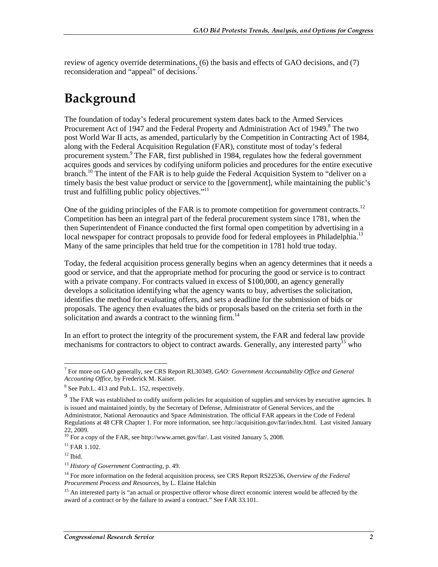review of agency override determinations, (6) the basis and effects of GAO decisions, and (7) reconsideration and "appeal" of decisions.<sup>7</sup>

## Background

The foundation of today's federal procurement system dates back to the Armed Services Procurement Act of 1947 and the Federal Property and Administration Act of 1949.<sup>8</sup> The two post World War II acts, as amended, particularly by the Competition in Contracting Act of 1984, along with the Federal Acquisition Regulation (FAR), constitute most of today's federal procurement system.<sup>9</sup> The FAR, first published in 1984, regulates how the federal government acquires goods and services by codifying uniform policies and procedures for the entire executive branch.<sup>10</sup> The intent of the FAR is to help guide the Federal Acquisition System to "deliver on a timely basis the best value product or service to the [government], while maintaining the public's trust and fulfilling public policy objectives."<sup>11</sup>

One of the guiding principles of the FAR is to promote competition for government contracts.<sup>12</sup> Competition has been an integral part of the federal procurement system since 1781, when the then Superintendent of Finance conducted the first formal open competition by advertising in a local newspaper for contract proposals to provide food for federal employees in Philadelphia.<sup>13</sup> Many of the same principles that held true for the competition in 1781 hold true today.

Today, the federal acquisition process generally begins when an agency determines that it needs a good or service, and that the appropriate method for procuring the good or service is to contract with a private company. For contracts valued in excess of \$100,000, an agency generally develops a solicitation identifying what the agency wants to buy, advertises the solicitation, identifies the method for evaluating offers, and sets a deadline for the submission of bids or proposals. The agency then evaluates the bids or proposals based on the criteria set forth in the solicitation and awards a contract to the winning firm.<sup>14</sup>

In an effort to protect the integrity of the procurement system, the FAR and federal law provide mechanisms for contractors to object to contract awards. Generally, any interested party<sup>15</sup> who

<sup>7</sup> For more on GAO generally, see CRS Report RL30349, *GAO: Government Accountability Office and General Accounting Office*, by Frederick M. Kaiser.

<sup>&</sup>lt;sup>8</sup> See Pub.L. 413 and Pub.L. 152, respectively.

 $9$  The FAR was established to codify uniform policies for acquisition of supplies and services by executive agencies. It is issued and maintained jointly, by the Secretary of Defense, Administrator of General Services, and the Administrator, National Aeronautics and Space Administration. The official FAR appears in the Code of Federal Regulations at 48 CFR Chapter 1. For more information, see http://acquisition.gov/far/index.html. Last visited January 22, 2009.

 $10$  For a copy of the FAR, see http://www.arnet.gov/far/. Last visited January 5, 2008.

 $11$  FAR 1.102.

 $12$  Ibid.

<sup>13</sup> *History of Government Contracting*, p. 49.

<sup>14</sup> For more information on the federal acquisition process, see CRS Report RS22536, *Overview of the Federal Procurement Process and Resources*, by L. Elaine Halchin

<sup>&</sup>lt;sup>15</sup> An interested party is "an actual or prospective offeror whose direct economic interest would be affected by the award of a contract or by the failure to award a contract." See FAR 33.101.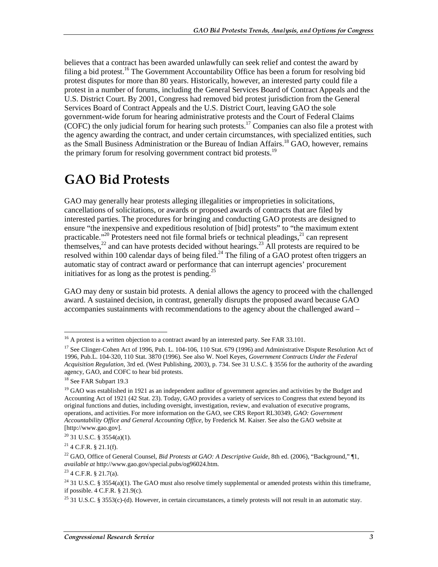believes that a contract has been awarded unlawfully can seek relief and contest the award by filing a bid protest.<sup>16</sup> The Government Accountability Office has been a forum for resolving bid protest disputes for more than 80 years. Historically, however, an interested party could file a protest in a number of forums, including the General Services Board of Contract Appeals and the U.S. District Court. By 2001, Congress had removed bid protest jurisdiction from the General Services Board of Contract Appeals and the U.S. District Court, leaving GAO the sole government-wide forum for hearing administrative protests and the Court of Federal Claims (COFC) the only judicial forum for hearing such protests.<sup>17</sup> Companies can also file a protest with the agency awarding the contract, and under certain circumstances, with specialized entities, such as the Small Business Administration or the Bureau of Indian Affairs.<sup>18</sup> GAO, however, remains the primary forum for resolving government contract bid protests.<sup>19</sup>

## **GAO Bid Protests**

GAO may generally hear protests alleging illegalities or improprieties in solicitations, cancellations of solicitations, or awards or proposed awards of contracts that are filed by interested parties. The procedures for bringing and conducting GAO protests are designed to ensure "the inexpensive and expeditious resolution of [bid] protests" to "the maximum extent practicable."<sup>20</sup> Protesters need not file formal briefs or technical pleadings,<sup>21</sup> can represent themselves,<sup>22</sup> and can have protests decided without hearings.<sup>23</sup> All protests are required to be resolved within 100 calendar days of being filed.<sup>24</sup> The filing of a GAO protest often triggers an automatic stay of contract award or performance that can interrupt agencies' procurement initiatives for as long as the protest is pending.<sup>25</sup>

GAO may deny or sustain bid protests. A denial allows the agency to proceed with the challenged award. A sustained decision, in contrast, generally disrupts the proposed award because GAO accompanies sustainments with recommendations to the agency about the challenged award –

 $16$  A protest is a written objection to a contract award by an interested party. See FAR 33.101.

<sup>&</sup>lt;sup>17</sup> See Clinger-Cohen Act of 1996, Pub. L. 104-106, 110 Stat. 679 (1996) and Administrative Dispute Resolution Act of 1996, Pub.L. 104-320, 110 Stat. 3870 (1996). See also W. Noel Keyes, *Government Contracts Under the Federal Acquisition Regulation*, 3rd ed. (West Publishing, 2003), p. 734. See 31 U.S.C. § 3556 for the authority of the awarding agency, GAO, and COFC to hear bid protests.

<sup>&</sup>lt;sup>18</sup> See FAR Subpart 19.3

 $19$  GAO was established in 1921 as an independent auditor of government agencies and activities by the Budget and Accounting Act of 1921 (42 Stat. 23). Today, GAO provides a variety of services to Congress that extend beyond its original functions and duties, including oversight, investigation, review, and evaluation of executive programs, operations, and activities. For more information on the GAO, see CRS Report RL30349, *GAO: Government Accountability Office and General Accounting Office*, by Frederick M. Kaiser. See also the GAO website at [http://www.gao.gov].

<sup>20 31</sup> U.S.C. § 3554(a)(1).

 $^{21}$  4 C.F.R. § 21.1(f).

<sup>22</sup> GAO, Office of General Counsel, *Bid Protests at GAO: A Descriptive Guide*, 8th ed. (2006), "Background," ¶1, *available at* http://www.gao.gov/special.pubs/og96024.htm.

 $23$  4 C.F.R. § 21.7(a).

<sup>&</sup>lt;sup>24</sup> 31 U.S.C. § 3554(a)(1). The GAO must also resolve timely supplemental or amended protests within this timeframe, if possible. 4 C.F.R. § 21.9(c).

<sup>&</sup>lt;sup>25</sup> 31 U.S.C. § 3553(c)-(d). However, in certain circumstances, a timely protests will not result in an automatic stay.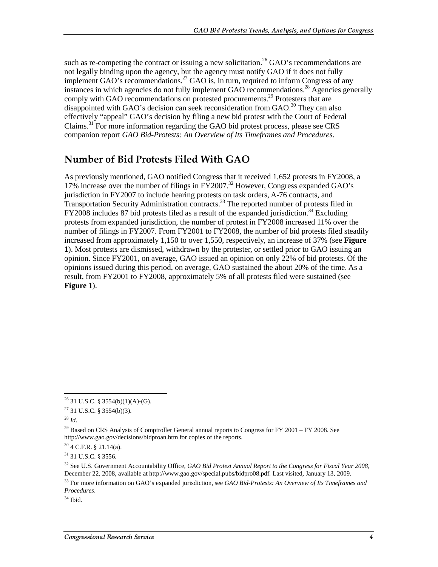such as re-competing the contract or issuing a new solicitation.<sup>26</sup> GAO's recommendations are not legally binding upon the agency, but the agency must notify GAO if it does not fully implement GAO's recommendations.<sup>27</sup> GAO is, in turn, required to inform Congress of any instances in which agencies do not fully implement GAO recommendations.<sup>28</sup> Agencies generally comply with GAO recommendations on protested procurements.<sup>29</sup> Protesters that are disappointed with GAO's decision can seek reconsideration from GAO.<sup>30</sup> They can also effectively "appeal" GAO's decision by filing a new bid protest with the Court of Federal Claims.<sup>31</sup> For more information regarding the GAO bid protest process, please see CRS companion report *GAO Bid-Protests: An Overview of Its Timeframes and Procedures*.

### Number of Bid Protests Filed With GAO

As previously mentioned, GAO notified Congress that it received 1,652 protests in FY2008, a 17% increase over the number of filings in  $\frac{17}{2007}$ .<sup>32</sup> However, Congress expanded GAO's jurisdiction in FY2007 to include hearing protests on task orders, A-76 contracts, and Transportation Security Administration contracts.<sup>33</sup> The reported number of protests filed in  $FY2008$  includes 87 bid protests filed as a result of the expanded jurisdiction.<sup>34</sup> Excluding protests from expanded jurisdiction, the number of protest in FY2008 increased 11% over the number of filings in FY2007. From FY2001 to FY2008, the number of bid protests filed steadily increased from approximately 1,150 to over 1,550, respectively, an increase of 37% (see **Figure 1**). Most protests are dismissed, withdrawn by the protester, or settled prior to GAO issuing an opinion. Since FY2001, on average, GAO issued an opinion on only 22% of bid protests. Of the opinions issued during this period, on average, GAO sustained the about 20% of the time. As a result, from FY2001 to FY2008, approximately 5% of all protests filed were sustained (see **Figure 1**).

 $\overline{a}$ 

 $34$  Ibid.

 $26$  31 U.S.C. § 3554(b)(1)(A)-(G).

 $27$  31 U.S.C. § 3554(b)(3).

<sup>28</sup> *Id*.

 $^{29}$  Based on CRS Analysis of Comptroller General annual reports to Congress for FY 2001 – FY 2008. See http://www.gao.gov/decisions/bidproan.htm for copies of the reports.

 $30$  4 C.F.R. § 21.14(a).

<sup>31 31</sup> U.S.C. § 3556.

<sup>32</sup> See U.S. Government Accountability Office, *GAO Bid Protest Annual Report to the Congress for Fiscal Year 2008*, December 22, 2008, available at http://www.gao.gov/special.pubs/bidpro08.pdf*.* Last visited, January 13, 2009.

<sup>33</sup> For more information on GAO's expanded jurisdiction, see *GAO Bid-Protests: An Overview of Its Timeframes and Procedures*.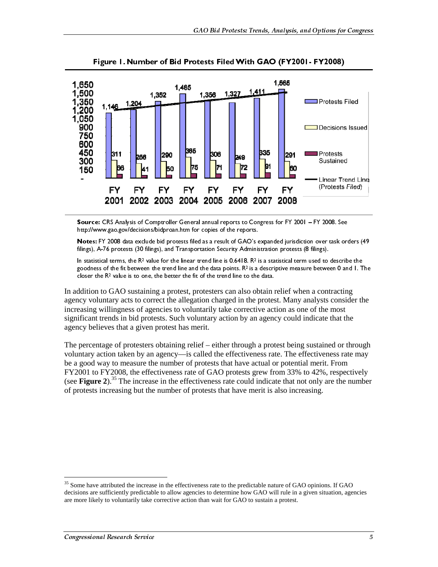

Source: CRS Analysis of Comptroller General annual reports to Congress for FY 2001 – FY 2008. See http://www.gao.gov/decisions/bidproan.htm for copies of the reports.

Notes: FY 2008 data exclude bid protests filed as a result of GAO's expanded jurisdiction over task orders (49 filings), A-76 protests (30 filings), and Transportation Security Administration protests (8 filings).

In addition to GAO sustaining a protest, protesters can also obtain relief when a contracting agency voluntary acts to correct the allegation charged in the protest. Many analysts consider the increasing willingness of agencies to voluntarily take corrective action as one of the most significant trends in bid protests. Such voluntary action by an agency could indicate that the agency believes that a given protest has merit.

In statistical terms, the R<sup>1</sup> value for the linear trend line is 0.6418. R<sup>2</sup> is a statistical term used to describe the statistical terms of the statistical terms of the distantial terms of the statistical term of  $G$  G good with the value is to one, the between the fit of the trend line of the state points. Never the R value is to one, the better the fit of the trend line to the state. Menting and the data didition to GAO sustaining a pr closer the re-value is to one, the better the fit of the denot line to the data.<br>
dddition to GAO sustaining a protest, protesters can also obtain the protest<br>
cicy voluntary acts to correct the allegation charged in the p The percentage of protesters obtaining relief – either through a protest being sustained or through voluntary action taken by an agency—is called the effectiveness rate. The effectiveness rate may be a good way to measure the number of protests that have actual or potential merit. From FY2001 to FY2008, the effectiveness rate of GAO protests grew from 33% to 42%, respectively (see **Figure 2**).35 The increase in the effectiveness rate could indicate that not only are the number of protests increasing but the number of protests that have merit is also increasing.

<sup>&</sup>lt;sup>35</sup> Some have attributed the increase in the effectiveness rate to the predictable nature of GAO opinions. If GAO decisions are sufficiently predictable to allow agencies to determine how GAO will rule in a given situation, agencies are more likely to voluntarily take corrective action than wait for GAO to sustain a protest.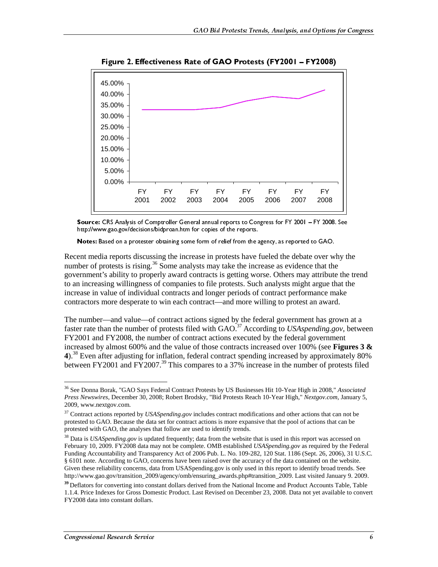

Source: CRS Analysis of Comptroller General annual reports to Congress for FY 2001 – FY 2008. See http://www.gao.gov/decisions/bidproan.htm for copies of the reports.

Notes: Based on a protester obtaining some form of relief from the agency, as reported to GAO.

Recent media reports discussing the increase in protests have fueled the debate over why the number of protests is rising.<sup>36</sup> Some analysts may take the increase as evidence that the government's ability to properly award contracts is getting worse. Others may attribute the trend to an increasing willingness of companies to file protests. Such analysts might argue that the increase in value of individual contracts and longer periods of contract performance make contractors more desperate to win each contract—and more willing to protest an award.

The number—and value—of contract actions signed by the federal government has grown at a faster rate than the number of protests filed with GAO.<sup>37</sup> According to *USAspending.gov*, between FY2001 and FY2008, the number of contract actions executed by the federal government increased by almost 600% and the value of those contracts increased over 100% (see **Figures 3 & 4**).38 Even after adjusting for inflation, federal contract spending increased by approximately 80% between FY2001 and FY2007.<sup>39</sup> This compares to a 37% increase in the number of protests filed

 $\overline{a}$ 36 See Donna Borak, "GAO Says Federal Contract Protests by US Businesses Hit 10-Year High in 2008," *Associated Press Newswires*, December 30, 2008; Robert Brodsky, "Bid Protests Reach 10-Year High," *Nextgov.com*, January 5, 2009, www.nextgov.com.

<sup>&</sup>lt;sup>37</sup> Contract actions reported by *USASpending.gov* includes contract modifications and other actions that can not be protested to GAO. Because the data set for contract actions is more expansive that the pool of actions that can be protested with GAO, the analyses that follow are used to identify trends.

<sup>&</sup>lt;sup>38</sup> Data is *USASpending.gov* is updated frequently; data from the website that is used in this report was accessed on February 10, 2009. FY2008 data may not be complete. OMB established *USASpending.gov* as required by the Federal Funding Accountability and Transparency Act of 2006 Pub. L. No. 109-282, 120 Stat. 1186 (Sept. 26, 2006), 31 U.S.C. § 6101 note. According to GAO, concerns have been raised over the accuracy of the data contained on the website. Given these reliability concerns, data from USASpending.gov is only used in this report to identify broad trends. See http://www.gao.gov/transition\_2009/agency/omb/ensuring\_awards.php#transition\_2009. Last visited January 9. 2009.

**<sup>39</sup>**Deflators for converting into constant dollars derived from the National Income and Product Accounts Table, Table 1.1.4. Price Indexes for Gross Domestic Product. Last Revised on December 23, 2008. Data not yet available to convert FY2008 data into constant dollars.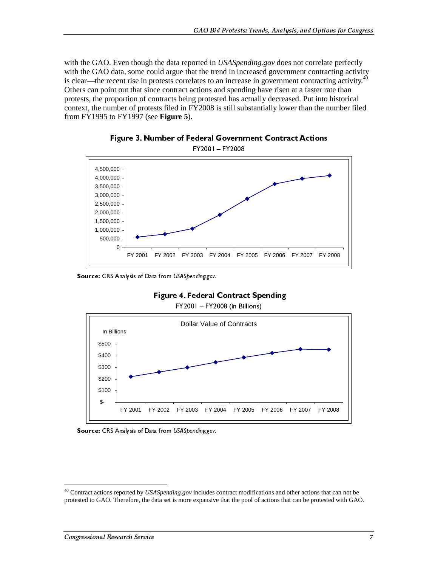with the GAO. Even though the data reported in *USASpending.gov* does not correlate perfectly with the GAO data, some could argue that the trend in increased government contracting activity is clear—the recent rise in protests correlates to an increase in government contracting activity.<sup>4</sup> Others can point out that since contract actions and spending have risen at a faster rate than protests, the proportion of contracts being protested has actually decreased. Put into historical context, the number of protests filed in FY2008 is still substantially lower than the number filed from FY1995 to FY1997 (see **Figure 5**).





Source: CRS Analysis of Data from USASpending.gov.





FY2001 – FY2008 (in Billions)



<sup>40</sup> Contract actions reported by *USASpending.gov* includes contract modifications and other actions that can not be protested to GAO. Therefore, the data set is more expansive that the pool of actions that can be protested with GAO.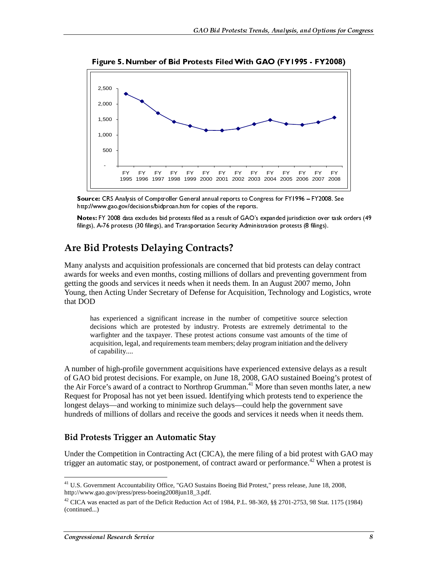

Source: CRS Analysis of Comptroller General annual reports to Congress for FY1996 – FY2008. See http://www.gao.gov/decisions/bidproan.htm for copies of the reports.

Notes: FY 2008 data excludes bid protests filed as a result of GAO's expanded jurisdiction over task orders (49 filings), A-76 protests (30 filings), and Transportation Security Administration protests (8 filings).

### Are Bid Protests Delaying Contracts?

Many analysts and acquisition professionals are concerned that bid protests can delay contract awards for weeks and even months, costing millions of dollars and preventing government from getting the goods and services it needs when it needs them. In an August 2007 memo, John Young, then Acting Under Secretary of Defense for Acquisition, Technology and Logistics, wrote that DOD

has experienced a significant increase in the number of competitive source selection decisions which are protested by industry. Protests are extremely detrimental to the warfighter and the taxpayer. These protest actions consume vast amounts of the time of acquisition, legal, and requirements team members; delay program initiation and the delivery of capability....

A number of high-profile government acquisitions have experienced extensive delays as a result of GAO bid protest decisions. For example, on June 18, 2008, GAO sustained Boeing's protest of the Air Force's award of a contract to Northrop Grumman.<sup>41</sup> More than seven months later, a new Request for Proposal has not yet been issued. Identifying which protests tend to experience the longest delays—and working to minimize such delays—could help the government save hundreds of millions of dollars and receive the goods and services it needs when it needs them.

#### Bid Protests Trigger an Automatic Stay

Under the Competition in Contracting Act (CICA), the mere filing of a bid protest with GAO may trigger an automatic stay, or postponement, of contract award or performance.<sup>42</sup> When a protest is

<sup>&</sup>lt;sup>41</sup> U.S. Government Accountability Office, "GAO Sustains Boeing Bid Protest," press release, June 18, 2008, http://www.gao.gov/press/press-boeing2008jun18\_3.pdf.

<sup>&</sup>lt;sup>42</sup> CICA was enacted as part of the Deficit Reduction Act of 1984, P.L. 98-369, §§ 2701-2753, 98 Stat. 1175 (1984) (continued...)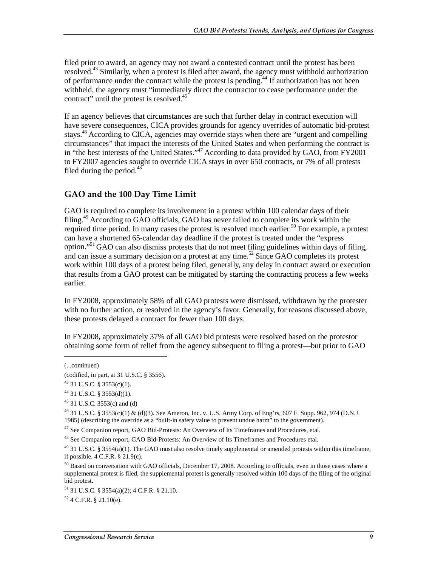filed prior to award, an agency may not award a contested contract until the protest has been resolved.43 Similarly, when a protest is filed after award, the agency must withhold authorization of performance under the contract while the protest is pending.<sup>44</sup> If authorization has not been withheld, the agency must "immediately direct the contractor to cease performance under the contract" until the protest is resolved.<sup>45</sup>

If an agency believes that circumstances are such that further delay in contract execution will have severe consequences, CICA provides grounds for agency overrides of automatic bid-protest stays.46 According to CICA, agencies may override stays when there are "urgent and compelling circumstances" that impact the interests of the United States and when performing the contract is in "the best interests of the United States."<sup>47</sup> According to data provided by GAO, from FY2001 to FY2007 agencies sought to override CICA stays in over 650 contracts, or 7% of all protests filed during the period. $48$ 

#### GAO and the 100 Day Time Limit

GAO is required to complete its involvement in a protest within 100 calendar days of their filing.49 According to GAO officials, GAO has never failed to complete its work within the required time period. In many cases the protest is resolved much earlier.<sup>50</sup> For example, a protest can have a shortened 65-calendar day deadline if the protest is treated under the "express option."51 GAO can also dismiss protests that do not meet filing guidelines within days of filing, and can issue a summary decision on a protest at any time.<sup>52</sup> Since GAO completes its protest work within 100 days of a protest being filed, generally, any delay in contract award or execution that results from a GAO protest can be mitigated by starting the contracting process a few weeks earlier.

In FY2008, approximately 58% of all GAO protests were dismissed, withdrawn by the protester with no further action, or resolved in the agency's favor. Generally, for reasons discussed above, these protests delayed a contract for fewer than 100 days.

In FY2008, approximately 37% of all GAO bid protests were resolved based on the protestor obtaining some form of relief from the agency subsequent to filing a protest—but prior to GAO

 $\overline{a}$ 

 $52$  4 C.F.R. § 21.10(e).

<sup>(...</sup>continued)

<sup>(</sup>codified, in part, at 31 U.S.C. § 3556).

 $^{43}$  31 U.S.C. § 3553(c)(1).

 $44$  31 U.S.C. § 3553(d)(1).

 $45$  31 U.S.C. 3553(c) and (d)

 $^{46}$  31 U.S.C. § 3553(c)(1) & (d)(3). See Ameron, Inc. v. U.S. Army Corp. of Eng'rs, 607 F. Supp. 962, 974 (D.N.J. 1985) (describing the override as a "built-in safety value to prevent undue harm" to the government).

 $47$  See Companion report, GAO Bid-Protests: An Overview of Its Timeframes and Procedures, etal.

<sup>&</sup>lt;sup>48</sup> See Companion report, GAO Bid-Protests: An Overview of Its Timeframes and Procedures etal.

 $^{49}$  31 U.S.C. § 3554(a)(1). The GAO must also resolve timely supplemental or amended protests within this timeframe, if possible. 4 C.F.R. § 21.9(c).

 $50$  Based on conversation with GAO officials, December 17, 2008. According to officials, even in those cases where a supplemental protest is filed, the supplemental protest is generally resolved within 100 days of the filing of the original bid protest.

<sup>51 31</sup> U.S.C. § 3554(a)(2); 4 C.F.R. § 21.10.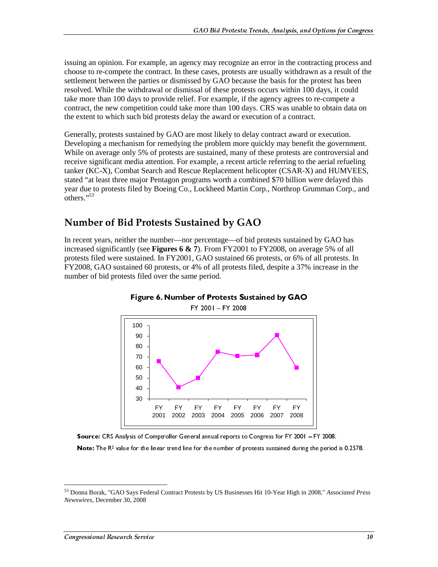issuing an opinion. For example, an agency may recognize an error in the contracting process and choose to re-compete the contract. In these cases, protests are usually withdrawn as a result of the settlement between the parties or dismissed by GAO because the basis for the protest has been resolved. While the withdrawal or dismissal of these protests occurs within 100 days, it could take more than 100 days to provide relief. For example, if the agency agrees to re-compete a contract, the new competition could take more than 100 days. CRS was unable to obtain data on the extent to which such bid protests delay the award or execution of a contract.

Generally, protests sustained by GAO are most likely to delay contract award or execution. Developing a mechanism for remedying the problem more quickly may benefit the government. While on average only 5% of protests are sustained, many of these protests are controversial and receive significant media attention. For example, a recent article referring to the aerial refueling tanker (KC-X), Combat Search and Rescue Replacement helicopter (CSAR-X) and HUMVEES, stated "at least three major Pentagon programs worth a combined \$70 billion were delayed this year due to protests filed by Boeing Co., Lockheed Martin Corp., Northrop Grumman Corp., and  $\overline{\text{others}}$ .  $\cdot$ <sup>53</sup>

### Number of Bid Protests Sustained by GAO

In recent years, neither the number—nor percentage—of bid protests sustained by GAO has increased significantly (see **Figures 6 & 7**). From FY2001 to FY2008, on average 5% of all protests filed were sustained. In FY2001, GAO sustained 66 protests, or 6% of all protests. In FY2008, GAO sustained 60 protests, or 4% of all protests filed, despite a 37% increase in the number of bid protests filed over the same period.





Source: CRS Analysis of Comptroller General annual reports to Congress for FY 2001 – FY 2008.<br>Note: The R<sup>2</sup> value for the linear trend line for the number of protests sustained during the period is 0.2578.

Note: The R<sup>2</sup> value for the linear trend line for the number of protests sustained during the period is 0.2578.<br>
Inna Borak, "GAO Says Federal Contract Protests by US Businesses Hit 10-Year High in 2008," *Associated Prew* 53 Donna Borak, "GAO Says Federal Contract Protests by US Businesses Hit 10-Year High in 2008," *Associated Press Newswires*, December 30, 2008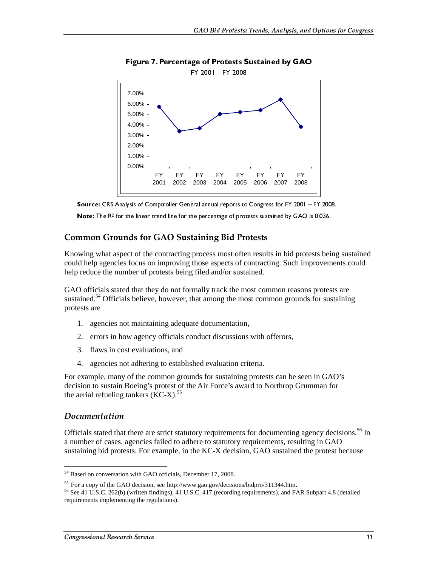





Note: The R<sup>2</sup> for the linear trend line for the percentage of protests sustained by GAO is 0.036.

#### **Common Grounds for GAO Sustaining Bid Protests**

Knowing what aspect of the contracting process most often results in bid protests being sustained could help agencies focus on improving those aspects of contracting. Such improvements could help reduce the number of protests being filed and/or sustained.

GAO officials stated that they do not formally track the most common reasons protests are sustained.<sup>54</sup> Officials believe, however, that among the most common grounds for sustaining protests are

- 1. agencies not maintaining adequate documentation,
- 2. errors in how agency officials conduct discussions with offerors,
- 3. flaws in cost evaluations, and
- 4. agencies not adhering to established evaluation criteria.

For example, many of the common grounds for sustaining protests can be seen in GAO's decision to sustain Boeing's protest of the Air Force's award to Northrop Grumman for the aerial refueling tankers  $(KC-X)$ <sup>55</sup>

#### Documentation

 $\overline{a}$ 

Officials stated that there are strict statutory requirements for documenting agency decisions.<sup>56</sup> In a number of cases, agencies failed to adhere to statutory requirements, resulting in GAO sustaining bid protests. For example, in the KC-X decision, GAO sustained the protest because

<sup>&</sup>lt;sup>54</sup> Based on conversation with GAO officials, December 17, 2008.

<sup>&</sup>lt;sup>55</sup> For a copy of the GAO decision, see http://www.gao.gov/decisions/bidpro/311344.htm.<br><sup>56</sup> See 41 U.S.C. 262(b) (written findings), 41 U.S.C. 417 (recording requirements), and FAR Subpart 4.8 (detailed requirements implementing the regulations).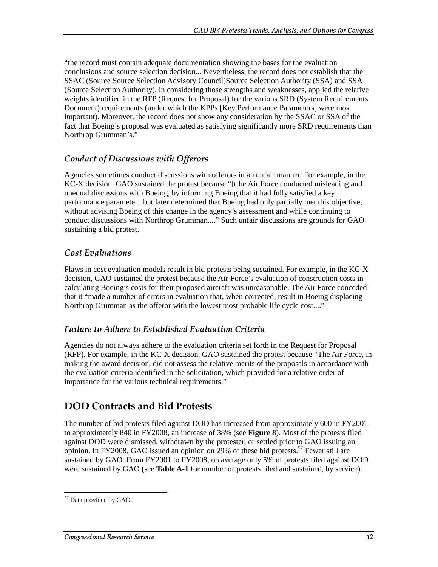"the record must contain adequate documentation showing the bases for the evaluation conclusions and source selection decision... Nevertheless, the record does not establish that the SSAC (Source Source Selection Advisory Council)Source Selection Authority (SSA) and SSA (Source Selection Authority), in considering those strengths and weaknesses, applied the relative weights identified in the RFP (Request for Proposal) for the various SRD (System Requirements Document) requirements (under which the KPPs [Key Performance Parameters] were most important). Moreover, the record does not show any consideration by the SSAC or SSA of the fact that Boeing's proposal was evaluated as satisfying significantly more SRD requirements than Northrop Grumman's."

#### Conduct of Discussions with Offerors

Agencies sometimes conduct discussions with offerors in an unfair manner. For example, in the KC-X decision, GAO sustained the protest because "[t]he Air Force conducted misleading and unequal discussions with Boeing, by informing Boeing that it had fully satisfied a key performance parameter...but later determined that Boeing had only partially met this objective, without advising Boeing of this change in the agency's assessment and while continuing to conduct discussions with Northrop Grumman...." Such unfair discussions are grounds for GAO sustaining a bid protest.

### **Cost Evaluations**

Flaws in cost evaluation models result in bid protests being sustained. For example, in the KC-X decision, GAO sustained the protest because the Air Force's evaluation of construction costs in calculating Boeing's costs for their proposed aircraft was unreasonable. The Air Force conceded that it "made a number of errors in evaluation that, when corrected, result in Boeing displacing Northrop Grumman as the offeror with the lowest most probable life cycle cost...."

### Failure to Adhere to Established Evaluation Criteria

Agencies do not always adhere to the evaluation criteria set forth in the Request for Proposal (RFP). For example, in the KC-X decision, GAO sustained the protest because "The Air Force, in making the award decision, did not assess the relative merits of the proposals in accordance with the evaluation criteria identified in the solicitation, which provided for a relative order of importance for the various technical requirements."

### DOD Contracts and Bid Protests

The number of bid protests filed against DOD has increased from approximately 600 in FY2001 to approximately 840 in FY2008, an increase of 38% (see **Figure 8**). Most of the protests filed against DOD were dismissed, withdrawn by the protester, or settled prior to GAO issuing an opinion. In FY2008, GAO issued an opinion on 29% of these bid protests.<sup>57</sup> Fewer still are sustained by GAO. From FY2001 to FY2008, on average only 5% of protests filed against DOD were sustained by GAO (see **Table A-1** for number of protests filed and sustained, by service).

 $\overline{a}$ <sup>57</sup> Data provided by GAO.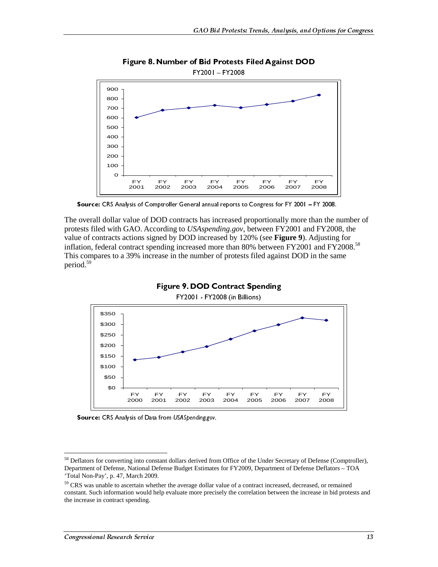

Figure 8. Number of Bid Protests Filed Against DOD

Source: CRS Analysis of Comptroller General annual reports to Congress for FY 2001 – FY 2008.

The overall dollar value of DOD contracts has increased proportionally more than the number of protests filed with GAO. According to *USAspending.gov*, between FY2001 and FY2008, the value of contracts actions signed by DOD increased by 120% (see **Figure 9**). Adjusting for inflation, federal contract spending increased more than 80% between FY2001 and FY2008.<sup>58</sup> This compares to a 39% increase in the number of protests filed against DOD in the same period.59



Source: CRS Analysis of Data from USASpending.gov.

<sup>&</sup>lt;sup>58</sup> Deflators for converting into constant dollars derived from Office of the Under Secretary of Defense (Comptroller), Department of Defense, National Defense Budget Estimates for FY2009, Department of Defense Deflators – TOA 'Total Non-Pay', p. 47, March 2009.

<sup>&</sup>lt;sup>59</sup> CRS was unable to ascertain whether the average dollar value of a contract increased, decreased, or remained constant. Such information would help evaluate more precisely the correlation between the increase in bid protests and the increase in contract spending.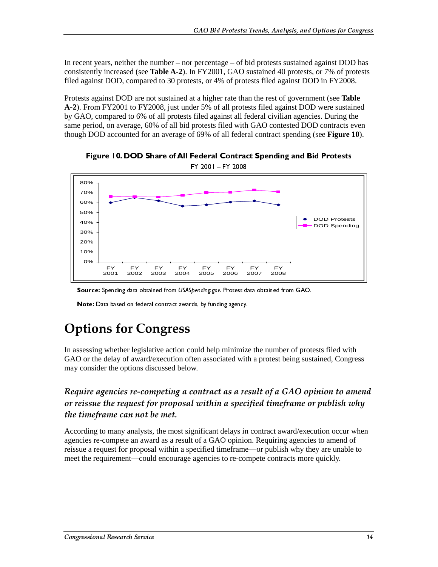In recent years, neither the number – nor percentage – of bid protests sustained against DOD has consistently increased (see **Table A-2**). In FY2001, GAO sustained 40 protests, or 7% of protests filed against DOD, compared to 30 protests, or 4% of protests filed against DOD in FY2008.

Protests against DOD are not sustained at a higher rate than the rest of government (see **Table A-2**). From FY2001 to FY2008, just under 5% of all protests filed against DOD were sustained by GAO, compared to 6% of all protests filed against all federal civilian agencies. During the same period, on average, 60% of all bid protests filed with GAO contested DOD contracts even though DOD accounted for an average of 69% of all federal contract spending (see **Figure 10**).



Figure 10. DOD Share of All Federal Contract Spending and Bid Protests

Source: Spending data obtained from USASpending.gov. Protest data obtained from GAO.

Note: Data based on federal contract awards, by funding agency.

## **Options for Congress**

In assessing whether legislative action could help minimize the number of protests filed with GAO or the delay of award/execution often associated with a protest being sustained, Congress may consider the options discussed below.

Require agencies re-competing a contract as a result of a GAO opinion to amend or reissue the request for proposal within a specified timeframe or publish why the timeframe can not be met.

**Source:** Spending data obtained from USASpending.gov. Protest data obtained from GAO.<br>
Note: Data based on federal contract awards, by funding agency.<br> **PULOINS for Congress**<br>
Sesssing whether legislative action could hel Note: Data based on federal contract awards, by funding agency.<br> **ptions for Congress**<br>
sesssing whether legislative action could help minimizz<br>
Do the delay of award/execution often associated with<br>
consider the options d According to many analysts, the most significant delays in contract award/execution occur when agencies re-compete an award as a result of a GAO opinion. Requiring agencies to amend of reissue a request for proposal within a specified timeframe—or publish why they are unable to meet the requirement—could encourage agencies to re-compete contracts more quickly.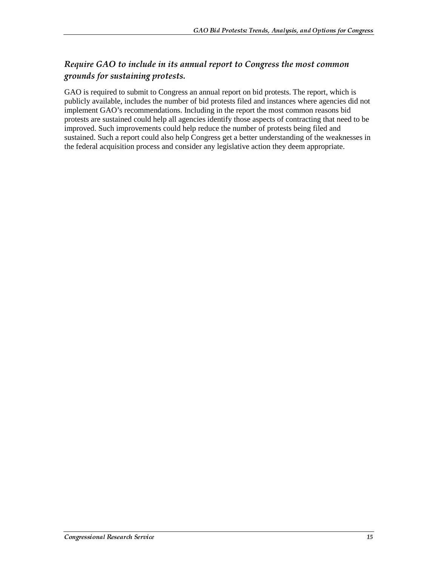### Require GAO to include in its annual report to Congress the most common grounds for sustaining protests.

GAO is required to submit to Congress an annual report on bid protests. The report, which is publicly available, includes the number of bid protests filed and instances where agencies did not implement GAO's recommendations. Including in the report the most common reasons bid protests are sustained could help all agencies identify those aspects of contracting that need to be improved. Such improvements could help reduce the number of protests being filed and sustained. Such a report could also help Congress get a better understanding of the weaknesses in the federal acquisition process and consider any legislative action they deem appropriate.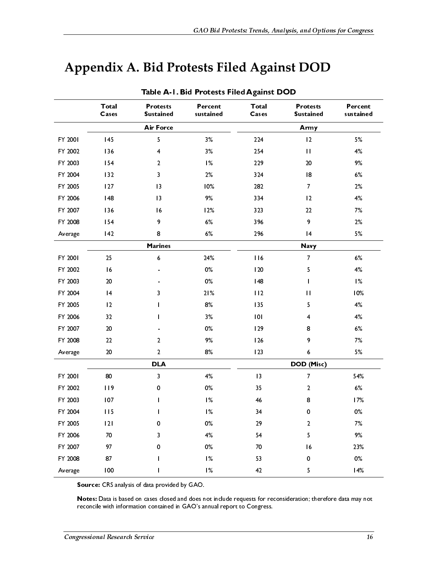## **Appendix A. Bid Protests Filed Against DOD**

| <b>Air Force</b><br>Army<br>5<br>3%<br>224<br>5%<br>145<br>$\overline{2}$<br>FY 2001<br>$3\%$<br>FY 2002<br>136<br>$\overline{\mathbf{4}}$<br>254<br>$\mathbf{I}$<br>4%<br>FY 2003<br>154<br>$\frac{9}{6}$<br>229<br>$20\,$<br>9%<br>$\mathbf{2}$<br>FY 2004<br>132<br>3<br>2%<br>324<br> 8<br>$6\%$<br>$2\%$<br>FY 2005<br>127<br>$\vert$ 3<br>10%<br>282<br>$\overline{7}$<br>$9\%$<br>FY 2006<br> 48<br>$\overline{13}$<br>334<br>12<br>4%<br>136<br> 6<br>12%<br>$22\,$<br>7%<br>FY 2007<br>323<br>$6\%$<br>9<br>$2\%$<br>154<br>9<br>396<br>FY 2008<br>5%<br>6%<br>296<br>142<br>8<br> 4<br>Average<br><b>Marines</b><br><b>Navy</b><br>116<br>FY 2001<br>25<br>$\boldsymbol{6}$<br>24%<br>$\overline{7}$<br>$6\%$<br>$0\%$<br>$4\%$<br>FY 2002<br>16<br>120<br>5<br>FY 2003<br>$20\,$<br>$0\%$<br>$\frac{9}{6}$<br>148<br>$\mathbf{I}$<br>FY 2004<br>$\vert 4$<br>21%<br>112<br>$\mathbf{1}$<br>3<br> 2 <br>$8\%$<br>4%<br>FY 2005<br>135<br>5<br>$4\%$<br>FY 2006<br>32<br>3%<br> 0 <br>$\overline{4}$<br>FY 2007<br>$20\,$<br>$0\%$<br>$6\%$<br>129<br>8<br>FY 2008<br>$22\,$<br>$9\%$<br>126<br>9<br>7%<br>$\overline{2}$<br>$20\,$<br>$\overline{2}$<br>8%<br>123<br>5%<br>6<br>Average<br><b>DLA</b><br>DOD (Misc)<br>$4\%$<br>FY 2001<br>${\bf 80}$<br>3<br>$\vert$ 3<br>$\overline{7}$<br>$0\%$<br>$6\%$<br>FY 2002<br>119<br>35<br>$\overline{2}$<br>0<br>FY 2003<br>107<br>$\frac{9}{6}$<br>46<br>8<br>$\mathbf{I}$<br>1%<br>$0\%$<br>FY 2004<br>115<br>34<br>$\pmb{0}$<br>$\mathbf{I}$<br>FY 2005<br> 2 <br>0%<br>29<br>7%<br>0<br>2<br>FY 2006<br>70<br>4%<br>54<br>5<br>9%<br>3<br>FY 2007<br>0%<br>97<br>70<br>16<br>0<br>1%<br>$0\%$<br>FY 2008<br>87<br>0<br>53<br>$\mathbf{I}$<br>1%<br>100<br>42<br>5<br>Average<br>Source: CRS analysis of data provided by GAO.<br>Notes: Data is based on cases closed and does not include requests for reconsideration; therefore data may not | Total<br>Cases | <b>Protests</b><br><b>Sustained</b> | Percent<br>sustained | <b>Total</b><br>Cases | <b>Protests</b><br><b>Sustained</b> | Percent<br>sustained |  |
|------------------------------------------------------------------------------------------------------------------------------------------------------------------------------------------------------------------------------------------------------------------------------------------------------------------------------------------------------------------------------------------------------------------------------------------------------------------------------------------------------------------------------------------------------------------------------------------------------------------------------------------------------------------------------------------------------------------------------------------------------------------------------------------------------------------------------------------------------------------------------------------------------------------------------------------------------------------------------------------------------------------------------------------------------------------------------------------------------------------------------------------------------------------------------------------------------------------------------------------------------------------------------------------------------------------------------------------------------------------------------------------------------------------------------------------------------------------------------------------------------------------------------------------------------------------------------------------------------------------------------------------------------------------------------------------------------------------------------------------------------------------------------------------------------------------------------------------------------------------------------------------------------------|----------------|-------------------------------------|----------------------|-----------------------|-------------------------------------|----------------------|--|
|                                                                                                                                                                                                                                                                                                                                                                                                                                                                                                                                                                                                                                                                                                                                                                                                                                                                                                                                                                                                                                                                                                                                                                                                                                                                                                                                                                                                                                                                                                                                                                                                                                                                                                                                                                                                                                                                                                            |                |                                     |                      |                       |                                     |                      |  |
|                                                                                                                                                                                                                                                                                                                                                                                                                                                                                                                                                                                                                                                                                                                                                                                                                                                                                                                                                                                                                                                                                                                                                                                                                                                                                                                                                                                                                                                                                                                                                                                                                                                                                                                                                                                                                                                                                                            |                |                                     |                      |                       |                                     |                      |  |
|                                                                                                                                                                                                                                                                                                                                                                                                                                                                                                                                                                                                                                                                                                                                                                                                                                                                                                                                                                                                                                                                                                                                                                                                                                                                                                                                                                                                                                                                                                                                                                                                                                                                                                                                                                                                                                                                                                            |                |                                     |                      |                       |                                     |                      |  |
|                                                                                                                                                                                                                                                                                                                                                                                                                                                                                                                                                                                                                                                                                                                                                                                                                                                                                                                                                                                                                                                                                                                                                                                                                                                                                                                                                                                                                                                                                                                                                                                                                                                                                                                                                                                                                                                                                                            |                |                                     |                      |                       |                                     |                      |  |
|                                                                                                                                                                                                                                                                                                                                                                                                                                                                                                                                                                                                                                                                                                                                                                                                                                                                                                                                                                                                                                                                                                                                                                                                                                                                                                                                                                                                                                                                                                                                                                                                                                                                                                                                                                                                                                                                                                            |                |                                     |                      |                       |                                     |                      |  |
|                                                                                                                                                                                                                                                                                                                                                                                                                                                                                                                                                                                                                                                                                                                                                                                                                                                                                                                                                                                                                                                                                                                                                                                                                                                                                                                                                                                                                                                                                                                                                                                                                                                                                                                                                                                                                                                                                                            |                |                                     |                      |                       |                                     |                      |  |
|                                                                                                                                                                                                                                                                                                                                                                                                                                                                                                                                                                                                                                                                                                                                                                                                                                                                                                                                                                                                                                                                                                                                                                                                                                                                                                                                                                                                                                                                                                                                                                                                                                                                                                                                                                                                                                                                                                            |                |                                     |                      |                       |                                     |                      |  |
|                                                                                                                                                                                                                                                                                                                                                                                                                                                                                                                                                                                                                                                                                                                                                                                                                                                                                                                                                                                                                                                                                                                                                                                                                                                                                                                                                                                                                                                                                                                                                                                                                                                                                                                                                                                                                                                                                                            |                |                                     |                      |                       |                                     |                      |  |
|                                                                                                                                                                                                                                                                                                                                                                                                                                                                                                                                                                                                                                                                                                                                                                                                                                                                                                                                                                                                                                                                                                                                                                                                                                                                                                                                                                                                                                                                                                                                                                                                                                                                                                                                                                                                                                                                                                            |                |                                     |                      |                       |                                     |                      |  |
|                                                                                                                                                                                                                                                                                                                                                                                                                                                                                                                                                                                                                                                                                                                                                                                                                                                                                                                                                                                                                                                                                                                                                                                                                                                                                                                                                                                                                                                                                                                                                                                                                                                                                                                                                                                                                                                                                                            |                |                                     |                      |                       |                                     |                      |  |
|                                                                                                                                                                                                                                                                                                                                                                                                                                                                                                                                                                                                                                                                                                                                                                                                                                                                                                                                                                                                                                                                                                                                                                                                                                                                                                                                                                                                                                                                                                                                                                                                                                                                                                                                                                                                                                                                                                            |                |                                     |                      |                       |                                     |                      |  |
|                                                                                                                                                                                                                                                                                                                                                                                                                                                                                                                                                                                                                                                                                                                                                                                                                                                                                                                                                                                                                                                                                                                                                                                                                                                                                                                                                                                                                                                                                                                                                                                                                                                                                                                                                                                                                                                                                                            |                |                                     |                      |                       |                                     |                      |  |
|                                                                                                                                                                                                                                                                                                                                                                                                                                                                                                                                                                                                                                                                                                                                                                                                                                                                                                                                                                                                                                                                                                                                                                                                                                                                                                                                                                                                                                                                                                                                                                                                                                                                                                                                                                                                                                                                                                            |                |                                     |                      |                       |                                     |                      |  |
|                                                                                                                                                                                                                                                                                                                                                                                                                                                                                                                                                                                                                                                                                                                                                                                                                                                                                                                                                                                                                                                                                                                                                                                                                                                                                                                                                                                                                                                                                                                                                                                                                                                                                                                                                                                                                                                                                                            |                |                                     |                      |                       |                                     |                      |  |
|                                                                                                                                                                                                                                                                                                                                                                                                                                                                                                                                                                                                                                                                                                                                                                                                                                                                                                                                                                                                                                                                                                                                                                                                                                                                                                                                                                                                                                                                                                                                                                                                                                                                                                                                                                                                                                                                                                            |                |                                     |                      |                       |                                     | 10%                  |  |
|                                                                                                                                                                                                                                                                                                                                                                                                                                                                                                                                                                                                                                                                                                                                                                                                                                                                                                                                                                                                                                                                                                                                                                                                                                                                                                                                                                                                                                                                                                                                                                                                                                                                                                                                                                                                                                                                                                            |                |                                     |                      |                       |                                     |                      |  |
|                                                                                                                                                                                                                                                                                                                                                                                                                                                                                                                                                                                                                                                                                                                                                                                                                                                                                                                                                                                                                                                                                                                                                                                                                                                                                                                                                                                                                                                                                                                                                                                                                                                                                                                                                                                                                                                                                                            |                |                                     |                      |                       |                                     |                      |  |
|                                                                                                                                                                                                                                                                                                                                                                                                                                                                                                                                                                                                                                                                                                                                                                                                                                                                                                                                                                                                                                                                                                                                                                                                                                                                                                                                                                                                                                                                                                                                                                                                                                                                                                                                                                                                                                                                                                            |                |                                     |                      |                       |                                     |                      |  |
|                                                                                                                                                                                                                                                                                                                                                                                                                                                                                                                                                                                                                                                                                                                                                                                                                                                                                                                                                                                                                                                                                                                                                                                                                                                                                                                                                                                                                                                                                                                                                                                                                                                                                                                                                                                                                                                                                                            |                |                                     |                      |                       |                                     |                      |  |
|                                                                                                                                                                                                                                                                                                                                                                                                                                                                                                                                                                                                                                                                                                                                                                                                                                                                                                                                                                                                                                                                                                                                                                                                                                                                                                                                                                                                                                                                                                                                                                                                                                                                                                                                                                                                                                                                                                            |                |                                     |                      |                       |                                     |                      |  |
|                                                                                                                                                                                                                                                                                                                                                                                                                                                                                                                                                                                                                                                                                                                                                                                                                                                                                                                                                                                                                                                                                                                                                                                                                                                                                                                                                                                                                                                                                                                                                                                                                                                                                                                                                                                                                                                                                                            |                |                                     |                      |                       |                                     |                      |  |
|                                                                                                                                                                                                                                                                                                                                                                                                                                                                                                                                                                                                                                                                                                                                                                                                                                                                                                                                                                                                                                                                                                                                                                                                                                                                                                                                                                                                                                                                                                                                                                                                                                                                                                                                                                                                                                                                                                            |                |                                     |                      |                       |                                     | 54%                  |  |
|                                                                                                                                                                                                                                                                                                                                                                                                                                                                                                                                                                                                                                                                                                                                                                                                                                                                                                                                                                                                                                                                                                                                                                                                                                                                                                                                                                                                                                                                                                                                                                                                                                                                                                                                                                                                                                                                                                            |                |                                     |                      |                       |                                     |                      |  |
|                                                                                                                                                                                                                                                                                                                                                                                                                                                                                                                                                                                                                                                                                                                                                                                                                                                                                                                                                                                                                                                                                                                                                                                                                                                                                                                                                                                                                                                                                                                                                                                                                                                                                                                                                                                                                                                                                                            |                |                                     |                      |                       |                                     | 17%                  |  |
|                                                                                                                                                                                                                                                                                                                                                                                                                                                                                                                                                                                                                                                                                                                                                                                                                                                                                                                                                                                                                                                                                                                                                                                                                                                                                                                                                                                                                                                                                                                                                                                                                                                                                                                                                                                                                                                                                                            |                |                                     |                      |                       |                                     |                      |  |
|                                                                                                                                                                                                                                                                                                                                                                                                                                                                                                                                                                                                                                                                                                                                                                                                                                                                                                                                                                                                                                                                                                                                                                                                                                                                                                                                                                                                                                                                                                                                                                                                                                                                                                                                                                                                                                                                                                            |                |                                     |                      |                       |                                     |                      |  |
|                                                                                                                                                                                                                                                                                                                                                                                                                                                                                                                                                                                                                                                                                                                                                                                                                                                                                                                                                                                                                                                                                                                                                                                                                                                                                                                                                                                                                                                                                                                                                                                                                                                                                                                                                                                                                                                                                                            |                |                                     |                      |                       |                                     |                      |  |
|                                                                                                                                                                                                                                                                                                                                                                                                                                                                                                                                                                                                                                                                                                                                                                                                                                                                                                                                                                                                                                                                                                                                                                                                                                                                                                                                                                                                                                                                                                                                                                                                                                                                                                                                                                                                                                                                                                            |                |                                     |                      |                       |                                     | 23%                  |  |
|                                                                                                                                                                                                                                                                                                                                                                                                                                                                                                                                                                                                                                                                                                                                                                                                                                                                                                                                                                                                                                                                                                                                                                                                                                                                                                                                                                                                                                                                                                                                                                                                                                                                                                                                                                                                                                                                                                            |                |                                     |                      |                       |                                     |                      |  |
|                                                                                                                                                                                                                                                                                                                                                                                                                                                                                                                                                                                                                                                                                                                                                                                                                                                                                                                                                                                                                                                                                                                                                                                                                                                                                                                                                                                                                                                                                                                                                                                                                                                                                                                                                                                                                                                                                                            |                |                                     |                      |                       |                                     | 14%                  |  |
| reconcile with information contained in GAO's annual report to Congress.                                                                                                                                                                                                                                                                                                                                                                                                                                                                                                                                                                                                                                                                                                                                                                                                                                                                                                                                                                                                                                                                                                                                                                                                                                                                                                                                                                                                                                                                                                                                                                                                                                                                                                                                                                                                                                   |                |                                     |                      |                       |                                     |                      |  |
| Congressional Research Service                                                                                                                                                                                                                                                                                                                                                                                                                                                                                                                                                                                                                                                                                                                                                                                                                                                                                                                                                                                                                                                                                                                                                                                                                                                                                                                                                                                                                                                                                                                                                                                                                                                                                                                                                                                                                                                                             |                |                                     |                      |                       |                                     | 16                   |  |

#### Table A-1. Bid Protests Filed Against DOD

**Source:** CRS analysis of data provided by GAO.<br>**Notes:** Data is based on cases closed and does n<br>reconcile with information contained in GAO's ar<br>pressional Research Service Notes: Data is based on cases closed and does not include requests for reconsideration; therefore data may not reconcile with information contained in GAO's annual report to Congress.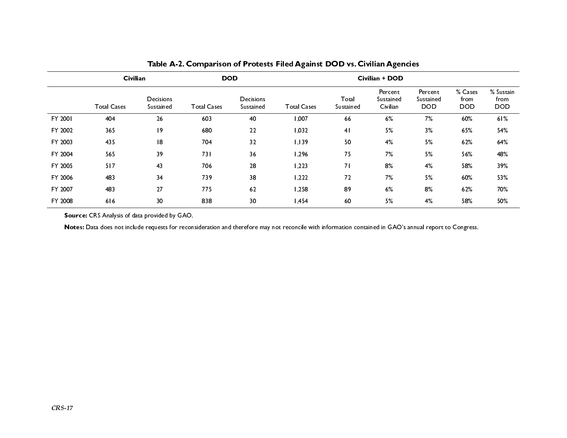|         | Civilian           |                               | <b>DOD</b>         |                        | Civilian + DOD     |                    |                                  |                                    |                               |                                 |
|---------|--------------------|-------------------------------|--------------------|------------------------|--------------------|--------------------|----------------------------------|------------------------------------|-------------------------------|---------------------------------|
|         | <b>Total Cases</b> | <b>Decisions</b><br>Sustained | <b>Total Cases</b> | Decisions<br>Sustained | <b>Total Cases</b> | Total<br>Sustained | Percent<br>Sustained<br>Civilian | Percent<br>Sustained<br><b>DOD</b> | % Cases<br>from<br><b>DOD</b> | % Sustain<br>from<br><b>DOD</b> |
| FY 2001 | 404                | 26                            | 603                | 40                     | 1,007              | 66                 | 6%                               | 7%                                 | 60%                           | 61%                             |
| FY 2002 | 365                | 9                             | 680                | 22                     | 1,032              | 4 <sub>1</sub>     | 5%                               | 3%                                 | 65%                           | 54%                             |
| FY 2003 | 435                | 8                             | 704                | 32                     | 1, 139             | 50                 | 4%                               | 5%                                 | 62%                           | 64%                             |
| FY 2004 | 565                | 39                            | 731                | 36                     | 1,296              | 75                 | 7%                               | 5%                                 | 56%                           | 48%                             |
| FY 2005 | 517                | 43                            | 706                | 28                     | 1,223              | 7 <sup>1</sup>     | 8%                               | 4%                                 | 58%                           | 39%                             |
| FY 2006 | 483                | 34                            | 739                | 38                     | 1,222              | 72                 | 7%                               | 5%                                 | 60%                           | 53%                             |
| FY 2007 | 483                | 27                            | 775                | 62                     | 1,258              | 89                 | 6%                               | 8%                                 | 62%                           | 70%                             |
| FY 2008 | 616                | 30                            | 838                | 30                     | 1,454              | 60                 | 5%                               | 4%                                 | 58%                           | 50%                             |

Table A-2. Comparison of Protests Filed Against DOD vs. Civilian Agencies

Source: CRS Analysis of data provided by GAO.

Notes: Data does not include requests for reconsideration and therefore may not reconcile with information contained in GAO's annual report to Congress.